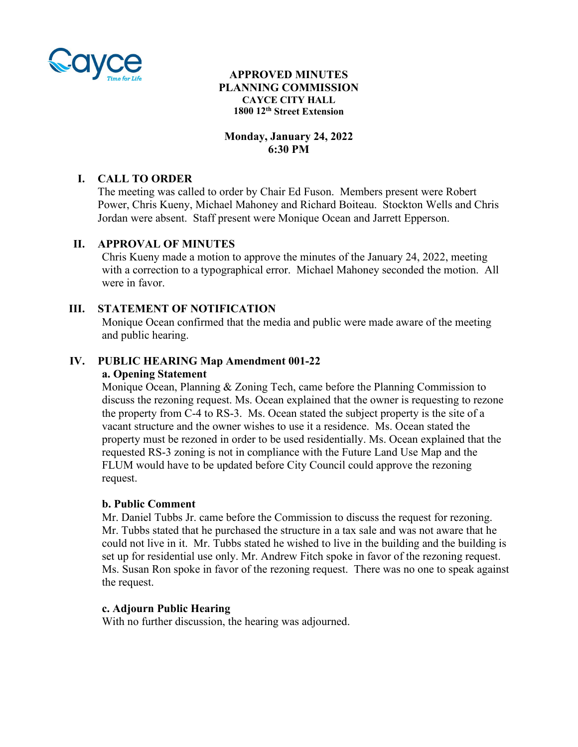

# **APPROVED MINUTES PLANNING COMMISSION CAYCE CITY HALL 1800 12th Street Extension**

# **Monday, January 24, 2022 6:30 PM**

# **I. CALL TO ORDER**

The meeting was called to order by Chair Ed Fuson. Members present were Robert Power, Chris Kueny, Michael Mahoney and Richard Boiteau. Stockton Wells and Chris Jordan were absent. Staff present were Monique Ocean and Jarrett Epperson.

## **II. APPROVAL OF MINUTES**

Chris Kueny made a motion to approve the minutes of the January 24, 2022, meeting with a correction to a typographical error. Michael Mahoney seconded the motion. All were in favor.

# **III. STATEMENT OF NOTIFICATION**

Monique Ocean confirmed that the media and public were made aware of the meeting and public hearing.

# **IV. PUBLIC HEARING Map Amendment 001-22**

# **a. Opening Statement**

Monique Ocean, Planning & Zoning Tech, came before the Planning Commission to discuss the rezoning request. Ms. Ocean explained that the owner is requesting to rezone the property from C-4 to RS-3. Ms. Ocean stated the subject property is the site of a vacant structure and the owner wishes to use it a residence. Ms. Ocean stated the property must be rezoned in order to be used residentially. Ms. Ocean explained that the requested RS-3 zoning is not in compliance with the Future Land Use Map and the FLUM would have to be updated before City Council could approve the rezoning request.

## **b. Public Comment**

Mr. Daniel Tubbs Jr. came before the Commission to discuss the request for rezoning. Mr. Tubbs stated that he purchased the structure in a tax sale and was not aware that he could not live in it. Mr. Tubbs stated he wished to live in the building and the building is set up for residential use only. Mr. Andrew Fitch spoke in favor of the rezoning request. Ms. Susan Ron spoke in favor of the rezoning request. There was no one to speak against the request.

#### **c. Adjourn Public Hearing**

With no further discussion, the hearing was adjourned.